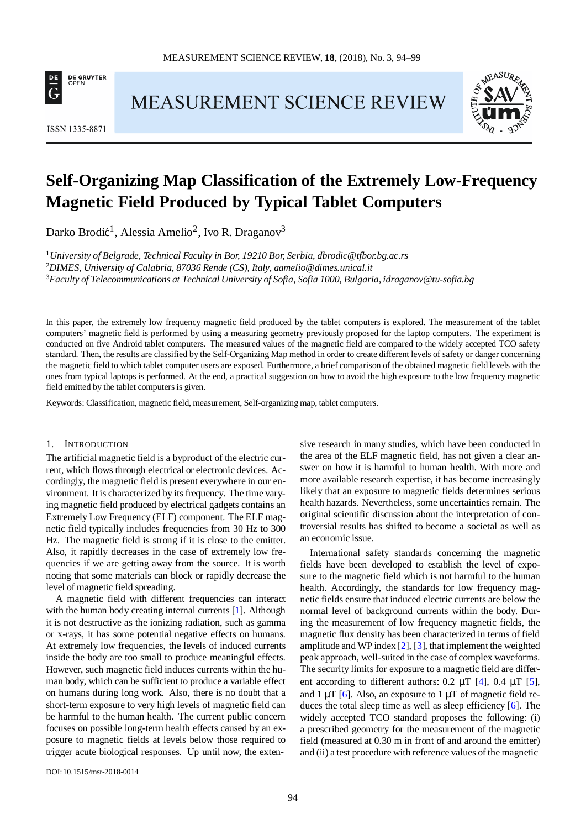

ISSN 1335-8871

## **MEASUREMENT SCIENCE REVIEW**



# **Self-Organizing Map Classification of the Extremely Low-Frequency Magnetic Field Produced by Typical Tablet Computers**

Darko Brodić<sup>1</sup>, Alessia Amelio<sup>2</sup>, Ivo R. Draganov<sup>3</sup>

<sup>1</sup>*University of Belgrade, Technical Faculty in Bor, 19210 Bor, Serbia, [dbrodic@tfbor.bg.ac.rs](mailto:dbrodic@tfbor.bg.ac.rs)* 2 *DIMES, University of Calabria, 87036 Rende (CS), Italy, [aamelio@dimes.unical.it](mailto:aamelio@dimes.unical.it)* 3 *Faculty of Telecommunications at Technical University of Sofia, Sofia 1000, Bulgaria, [idraganov@tu-sofia.bg](mailto:idraganov@tu-sofia.bg)*

In this paper, the extremely low frequency magnetic field produced by the tablet computers is explored. The measurement of the tablet computers' magnetic field is performed by using a measuring geometry previously proposed for the laptop computers. The experiment is conducted on five Android tablet computers. The measured values of the magnetic field are compared to the widely accepted TCO safety standard. Then, the results are classified by the Self-Organizing Map method in order to create different levels of safety or danger concerning the magnetic field to which tablet computer users are exposed. Furthermore, a brief comparison of the obtained magnetic field levels with the ones from typical laptops is performed. At the end, a practical suggestion on how to avoid the high exposure to the low frequency magnetic field emitted by the tablet computersis given.

Keywords: Classification, magnetic field, measurement, Self-organizing map, tablet computers.

## 1. INTRODUCTION

The artificial magnetic field is a byproduct of the electric current, which flows through electrical or electronic devices. Accordingly, the magnetic field is present everywhere in our environment. It is characterized by its frequency. The time varying magnetic field produced by electrical gadgets contains an Extremely Low Frequency (ELF) component. The ELF magnetic field typically includes frequencies from 30 Hz to 300 Hz. The magnetic field is strong if it is close to the emitter. Also, it rapidly decreases in the case of extremely low frequencies if we are getting away from the source. It is worth noting that some materials can block or rapidly decrease the level of magnetic field spreading.

A magnetic field with different frequencies can interact with the human body creating internal currents [\[1\]](#page-5-0). Although it is not destructive as the ionizing radiation, such as gamma or x-rays, it has some potential negative effects on humans. At extremely low frequencies, the levels of induced currents inside the body are too small to produce meaningful effects. However, such magnetic field induces currents within the human body, which can be sufficient to produce a variable effect on humans during long work. Also, there is no doubt that a short-term exposure to very high levels of magnetic field can be harmful to the human health. The current public concern focuses on possible long-term health effects caused by an exposure to magnetic fields at levels below those required to trigger acute biological responses. Up until now, the exten-

sive research in many studies, which have been conducted in the area of the ELF magnetic field, has not given a clear answer on how it is harmful to human health. With more and more available research expertise, it has become increasingly likely that an exposure to magnetic fields determines serious health hazards. Nevertheless, some uncertainties remain. The original scientific discussion about the interpretation of controversial results has shifted to become a societal as well as an economic issue.

International safety standards concerning the magnetic fields have been developed to establish the level of exposure to the magnetic field which is not harmful to the human health. Accordingly, the standards for low frequency magnetic fields ensure that induced electric currents are below the normal level of background currents within the body. During the measurement of low frequency magnetic fields, the magnetic flux density has been characterized in terms of field amplitude and WP index [\[2\]](#page-5-1), [\[3\]](#page-5-2), that implement the weighted peak approach, well-suited in the case of complex waveforms. The security limits for exposure to a magnetic field are different according to different authors:  $0.2 \mu T$  [\[4\]](#page-5-3),  $0.4 \mu T$  [\[5\]](#page-5-4), and 1  $\mu$ T [\[6\]](#page-5-5). Also, an exposure to 1  $\mu$ T of magnetic field re-duces the total sleep time as well as sleep efficiency [\[6\]](#page-5-5). The widely accepted TCO standard proposes the following: (i) a prescribed geometry for the measurement of the magnetic field (measured at 0.30 m in front of and around the emitter) and (ii) a test procedure with reference values of the magnetic

[DOI:10.1515/msr-2018-0014](http://dx.doi.org/10.1515/msr-2018-0014)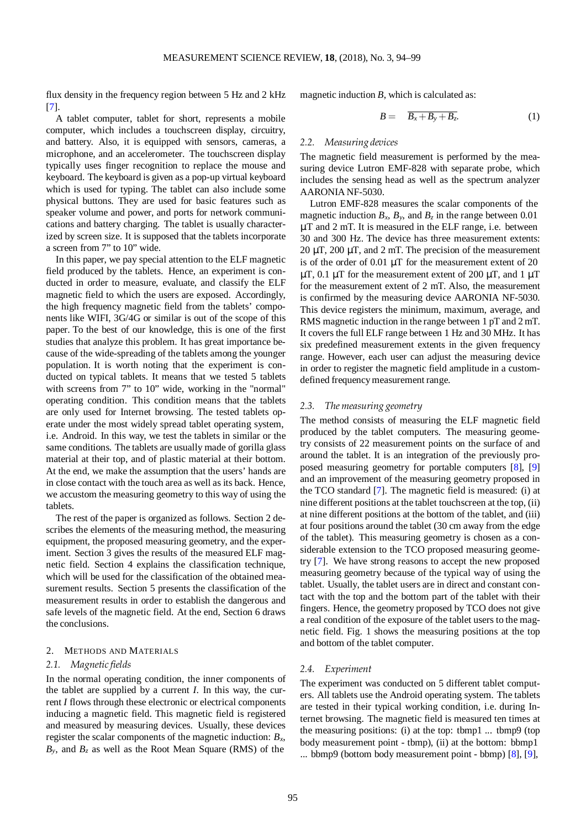flux density in the frequency region between 5 Hz and 2 kHz [\[7\]](#page-5-6).

A tablet computer, tablet for short, represents a mobile computer, which includes a touchscreen display, circuitry, and battery. Also, it is equipped with sensors, cameras, a microphone, and an accelerometer. The touchscreen display typically uses finger recognition to replace the mouse and keyboard. The keyboard is given as a pop-up virtual keyboard which is used for typing. The tablet can also include some physical buttons. They are used for basic features such as speaker volume and power, and ports for network communications and battery charging. The tablet is usually characterized by screen size. It is supposed that the tablets incorporate a screen from 7" to 10" wide.

In this paper, we pay special attention to the ELF magnetic field produced by the tablets. Hence, an experiment is conducted in order to measure, evaluate, and classify the ELF magnetic field to which the users are exposed. Accordingly, the high frequency magnetic field from the tablets' components like WIFI, 3G/4G or similar is out of the scope of this paper. To the best of our knowledge, this is one of the first studies that analyze this problem. It has great importance because of the wide-spreading of the tablets among the younger population. It is worth noting that the experiment is conducted on typical tablets. It means that we tested 5 tablets with screens from 7" to 10" wide, working in the "normal" operating condition. This condition means that the tablets are only used for Internet browsing. The tested tablets operate under the most widely spread tablet operating system, i.e. Android. In this way, we test the tablets in similar or the same conditions. The tablets are usually made of gorilla glass material at their top, and of plastic material at their bottom. At the end, we make the assumption that the users' hands are in close contact with the touch area as well as its back. Hence, we accustom the measuring geometry to this way of using the tablets.

The rest of the paper is organized as follows. Section 2 describes the elements of the measuring method, the measuring equipment, the proposed measuring geometry, and the experiment. Section 3 gives the results of the measured ELF magnetic field. Section 4 explains the classification technique, which will be used for the classification of the obtained measurement results. Section 5 presents the classification of the measurement results in order to establish the dangerous and safe levels of the magnetic field. At the end, Section 6 draws the conclusions.

## 2. METHODS AND MATERIALS

## *2.1. Magnetic fields*

In the normal operating condition, the inner components of the tablet are supplied by a current *I*. In this way, the current *I* flows through these electronic or electrical components inducing a magnetic field. This magnetic field is registered and measured by measuring devices. Usually, these devices register the scalar components of the magnetic induction: *Bx*,  $B_y$ , and  $B_z$  as well as the Root Mean Square (RMS) of the

magnetic induction *B*, which is calculated as:

$$
B = \overline{B_x + B_y + B_z}.
$$
 (1)

#### *2.2. Measuring devices*

The magnetic field measurement is performed by the measuring device Lutron EMF-828 with separate probe, which includes the sensing head as well as the spectrum analyzer AARONIA NF-5030.

Lutron EMF-828 measures the scalar components of the magnetic induction  $B_x$ ,  $B_y$ , and  $B_z$  in the range between 0.01 *µ*T and 2 mT. It is measured in the ELF range, i.e. between 30 and 300 Hz. The device has three measurement extents: 20  $\mu$ T, 200  $\mu$ T, and 2 mT. The precision of the measurement is of the order of 0.01  $\mu$ T for the measurement extent of 20  $\mu$ T, 0.1  $\mu$ T for the measurement extent of 200  $\mu$ T, and 1  $\mu$ T for the measurement extent of 2 mT. Also, the measurement is confirmed by the measuring device AARONIA NF-5030. This device registers the minimum, maximum, average, and RMS magnetic induction in the range between 1 pT and 2 mT. It covers the full ELF range between 1 Hz and 30 MHz. It has six predefined measurement extents in the given frequency range. However, each user can adjust the measuring device in order to register the magnetic field amplitude in a customdefined frequency measurement range.

## *2.3. The measuring geometry*

The method consists of measuring the ELF magnetic field produced by the tablet computers. The measuring geometry consists of 22 measurement points on the surface of and around the tablet. It is an integration of the previously proposed measuring geometry for portable computers [\[8\]](#page-5-7), [\[9\]](#page-5-8) and an improvement of the measuring geometry proposed in the TCO standard [\[7\]](#page-5-6). The magnetic field is measured: (i) at nine different positions at the tablet touchscreen at the top, (ii) at nine different positions at the bottom of the tablet, and (iii) at four positions around the tablet (30 cm away from the edge of the tablet). This measuring geometry is chosen as a considerable extension to the TCO proposed measuring geometry [\[7\]](#page-5-6). We have strong reasons to accept the new proposed measuring geometry because of the typical way of using the tablet. Usually, the tablet users are in direct and constant contact with the top and the bottom part of the tablet with their fingers. Hence, the geometry proposed by TCO does not give a real condition of the exposure of the tablet users to the magnetic field. Fig. [1](#page-2-0) shows the measuring positions at the top and bottom of the tablet computer.

#### *2.4. Experiment*

The experiment was conducted on 5 different tablet computers. All tablets use the Android operating system. The tablets are tested in their typical working condition, i.e. during Internet browsing. The magnetic field is measured ten times at the measuring positions: (i) at the top: tbmp1 ... tbmp9 (top body measurement point - tbmp), (ii) at the bottom: bbmp1 ... bbmp9 (bottom body measurement point - bbmp) [\[8\]](#page-5-7), [\[9\]](#page-5-8),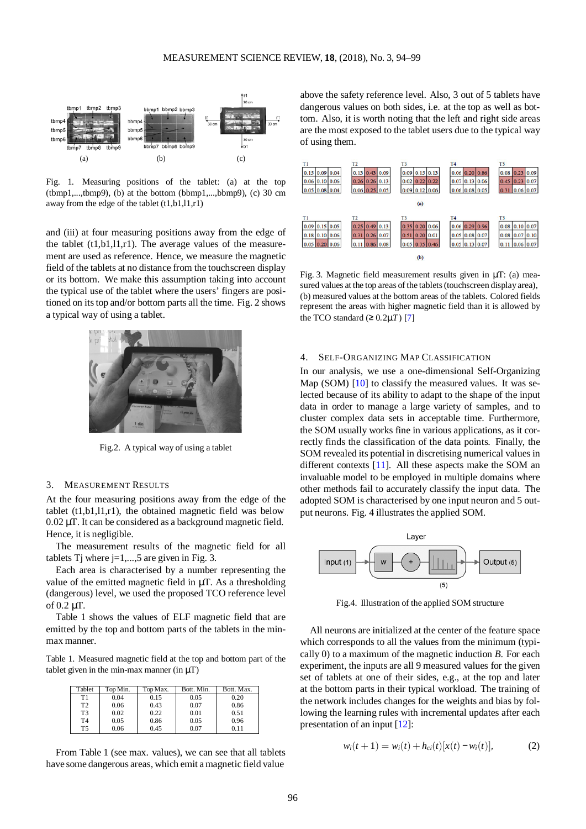

<span id="page-2-0"></span>Fig. 1. Measuring positions of the tablet: (a) at the top (tbmp1,...,tbmp9), (b) at the bottom (bbmp1,...,bbmp9), (c) 30 cm away from the edge of the tablet  $(t1,b1,11,r1)$ 

and (iii) at four measuring positions away from the edge of the tablet (t1,b1,l1,r1). The average values of the measurement are used as reference. Hence, we measure the magnetic field of the tablets at no distance from the touchscreen display or its bottom. We make this assumption taking into account the typical use of the tablet where the users' fingers are posi-tioned on its top and/or bottom parts all the time. Fig. [2](#page-2-1) shows a typical way of using a tablet.



Fig.2. A typical way of using a tablet

#### <span id="page-2-1"></span>3. MEASUREMENT RESULTS

At the four measuring positions away from the edge of the tablet (t1,b1,l1,r1), the obtained magnetic field was below 0.02 *µ*T. It can be considered as a background magnetic field. Hence, it is negligible.

The measurement results of the magnetic field for all tablets Tj where  $j=1,...,5$  are given in Fig. [3.](#page-2-2)

Each area is characterised by a number representing the value of the emitted magnetic field in  $\mu$ T. As a thresholding (dangerous) level, we used the proposed TCO reference level of  $0.2 \mu$ T.

Table [1](#page-2-3) shows the values of ELF magnetic field that are emitted by the top and bottom parts of the tablets in the minmax manner.

<span id="page-2-3"></span>Table 1. Measured magnetic field at the top and bottom part of the tablet given in the min-max manner (in  $\mu$ T)

| Tablet         | Top Min. | Top Max. | Bott. Min. | Bott. Max. |
|----------------|----------|----------|------------|------------|
| Τ1             | 0.04     | 0.15     | 0.05       | 0.20       |
| T <sub>2</sub> | 0.06     | 0.43     | 0.07       | 0.86       |
| T <sub>3</sub> | 0.02     | 0.22     | 0.01       | 0.51       |
| T <sub>4</sub> | 0.05     | 0.86     | 0.05       | 0.96       |
| T5             | 0.06     | 0.45     | 0.07       | 0.11       |

From Table [1](#page-2-3) (see max. values), we can see that all tablets have some dangerous areas, which emit amagnetic field value

above the safety reference level. Also, 3 out of 5 tablets have dangerous values on both sides, i.e. at the top as well as bottom. Also, it is worth noting that the left and right side areas are the most exposed to the tablet users due to the typical way of using them.



<span id="page-2-2"></span>Fig. 3. Magnetic field measurement results given in *µ*T: (a) measured values at the top areas of the tablets (touchscreen display area), (b) measured values at the bottom areas of the tablets. Colored fields represent the areas with higher magnetic field than it is allowed by the TCO standard  $(≥ 0.2µT)$  [\[7\]](#page-5-6)

## 4. SELF-ORGANIZING MAP CLASSIFICATION

In our analysis, we use a one-dimensional Self-Organizing Map (SOM)  $[10]$  to classify the measured values. It was selected because of its ability to adapt to the shape of the input data in order to manage a large variety of samples, and to cluster complex data sets in acceptable time. Furthermore, the SOM usually works fine in various applications, as it correctly finds the classification of the data points. Finally, the SOM revealed its potential in discretising numerical values in different contexts [\[11\]](#page-5-10). All these aspects make the SOM an invaluable model to be employed in multiple domains where other methods fail to accurately classify the input data. The adopted SOM is characterised by one input neuron and 5 output neurons. Fig. [4](#page-2-4) illustrates the applied SOM.



Fig.4. Illustration of the applied SOM structure

<span id="page-2-4"></span>All neurons are initialized at the center of the feature space which corresponds to all the values from the minimum (typically 0) to a maximum of the magnetic induction *B*. For each experiment, the inputs are all 9 measured values for the given set of tablets at one of their sides, e.g., at the top and later at the bottom parts in their typical workload. The training of the network includes changes for the weights and bias by following the learning rules with incremental updates after each presentation of an input [\[12\]](#page-5-11):

$$
w_i(t+1) = w_i(t) + h_{ci}(t)[x(t) - w_i(t)],
$$
 (2)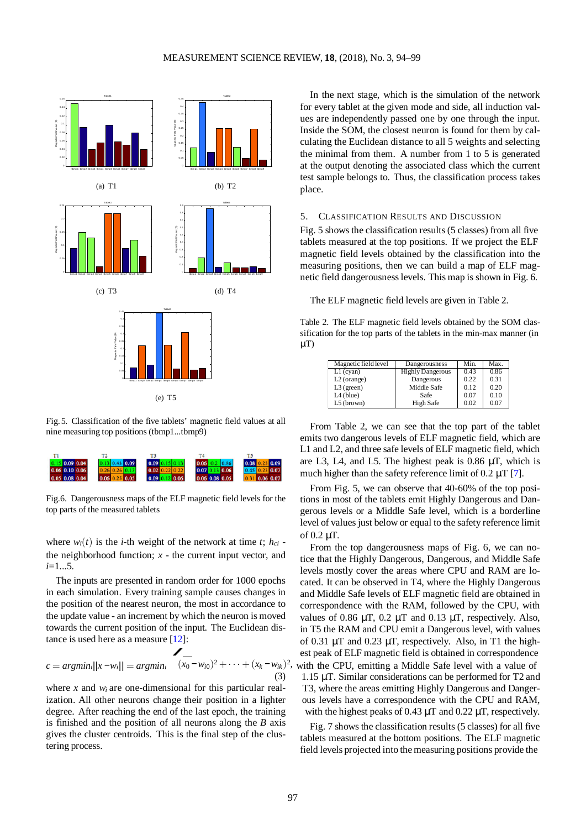<span id="page-3-0"></span>

Fig.5. Classification of the five tablets' magnetic field values at all nine measuring top positions (tbmp1...tbmp9)

| $0.15$ 0.09 0.04 | $0.13$ 0.43 0.09    | 0.09 0.15 0.13       | $0.06$ 0.2 0.86  | 0.08<br>0.09     |
|------------------|---------------------|----------------------|------------------|------------------|
| $0.06$ 0.10 0.06 |                     | 22 0.22<br>0.02      | $0.07$ 0.13 0.06 | $0.45$ 0.23 0.07 |
| $0.05$ 0.08 0.04 | 250.05<br>$0.06$ 0. | $0.09$ $0.12$ $0.06$ | $0.06$ 0.08 0.05 | 31 0.06 0.07     |

<span id="page-3-1"></span>Fig.6. Dangerousness maps of the ELF magnetic field levels for the top parts of the measured tablets

where  $w_i(t)$  is the *i*-th weight of the network at time *t*;  $h_{ci}$  the neighborhood function;  $x -$  the current input vector, and *i*=1...5.

The inputs are presented in random order for 1000 epochs in each simulation. Every training sample causes changes in the position of the nearest neuron, the most in accordance to the update value - an increment by which the neuron is moved towards the current position of the input. The Euclidean dis-tance is used here as a measure [\[12\]](#page-5-11):

$$
c = argmin_{i} ||x - w_{i}|| = argmin_{i} \quad (x_{0} - w_{i0})^{2} + \dots + (x_{k} - w_{ik})^{2},
$$
\n(3)

where *x* and *wi* are one-dimensional for this particular realization. All other neurons change their position in a lighter degree. After reaching the end of the last epoch, the training is finished and the position of all neurons along the *B* axis gives the cluster centroids. This is the final step of the clustering process.

In the next stage, which is the simulation of the network for every tablet at the given mode and side, all induction values are independently passed one by one through the input. Inside the SOM, the closest neuron is found for them by calculating the Euclidean distance to all 5 weights and selecting the minimal from them. A number from 1 to 5 is generated at the output denoting the associated class which the current test sample belongs to. Thus, the classification process takes place.

## 5. CLASSIFICATION RESULTS AND DISCUSSION

Fig. [5](#page-3-0) shows the classification results(5 classes) from all five tablets measured at the top positions. If we project the ELF magnetic field levels obtained by the classification into the measuring positions, then we can build a map of ELF magnetic field dangerousnesslevels. This map is shown in Fig. [6.](#page-3-1)

The ELF magnetic field levels are given in Tabl[e 2.](#page-3-2)

<span id="page-3-2"></span>Table 2. The ELF magnetic field levels obtained by the SOM classification for the top parts of the tablets in the min-max manner (in  $\mu$ T)

| Magnetic field level | Dangerousness    | Min. | Max. |
|----------------------|------------------|------|------|
| $L1$ (cyan)          | Highly Dangerous | 0.43 | 0.86 |
| $L2$ (orange)        | Dangerous        | 0.22 | 0.31 |
| $L3$ (green)         | Middle Safe      | 0.12 | 0.20 |
| $L4$ (blue)          | Safe             | 0.07 | 0.10 |
| $L5$ (brown)         | High Safe        | 0.02 | 0.07 |

From Table [2,](#page-3-2) we can see that the top part of the tablet emits two dangerous levels of ELF magnetic field, which are L1 and L2, and three safe levels of ELF magnetic field, which are L3, L4, and L5. The highest peak is 0.86 *µ*T, which is much higher than the safety reference limit of  $0.2 \mu T$  [\[7\]](#page-5-6).

From Fig. [5,](#page-3-0) we can observe that 40-60% of the top positions in most of the tablets emit Highly Dangerous and Dangerous levels or a Middle Safe level, which is a borderline level of values just below or equal to the safety reference limit of 0.2 *µ*T.

From the top dangerousness maps of Fig. [6,](#page-3-1) we can notice that the Highly Dangerous, Dangerous, and Middle Safe levels mostly cover the areas where CPU and RAM are located. It can be observed in T4, where the Highly Dangerous and Middle Safe levels of ELF magnetic field are obtained in correspondence with the RAM, followed by the CPU, with values of 0.86  $\mu$ T, 0.2  $\mu$ T and 0.13  $\mu$ T, respectively. Also, in T5 the RAM and CPU emit a Dangerous level, with values of 0.31  $\mu$ T and 0.23  $\mu$ T, respectively. Also, in T1 the highest peak of ELF magnetic field is obtained in correspondence with the CPU, emitting a Middle Safe level with a value of 1.15 *µ*T. Similar considerations can be performed for T2 and T3, where the areas emitting Highly Dangerous and Dangerous levels have a correspondence with the CPU and RAM, with the highest peaks of 0.43 *µ*T and 0.22 *µ*T, respectively.

Fig. [7](#page-4-0) shows the classification results (5 classes) for all five tablets measured at the bottom positions. The ELF magnetic field levels projected into themeasuring positions provide the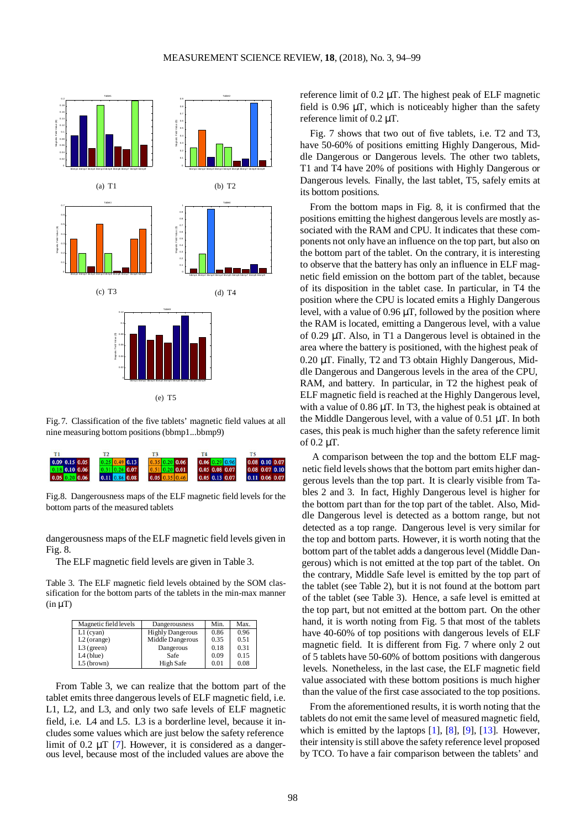<span id="page-4-0"></span>

Fig.7. Classification of the five tablets' magnetic field values at all nine measuring bottom positions(bbmp1...bbmp9)

| $0.09$ $0.15$ $0.05$ | 0.13                 | 35 0.20 0.06     | $0.06$ 0.29 0.96 | $0.08$ 0.10 0.07 |
|----------------------|----------------------|------------------|------------------|------------------|
| $0.18$ 0.10 0.06     | $0.3110.26$ 0.07     | $0.51$ 0.20 0.01 | $0.05$ 0.08 0.07 | $0.08$ 0.07 0.10 |
| $0.05$ $0.20$ $0.06$ | $0.11$ $0.86$ $0.08$ | 0.05             | $0.05$ 0.13 0.07 | $0.11$ 0.06 0.07 |

<span id="page-4-1"></span>Fig.8. Dangerousness maps of the ELF magnetic field levels for the bottom parts of the measured tablets

dangerousness maps of the ELF magnetic field levels given in Fig. [8.](#page-4-1)

The ELF magnetic field levels are given in Tabl[e 3.](#page-4-2)

<span id="page-4-2"></span>Table 3. The ELF magnetic field levels obtained by the SOM classification for the bottom parts of the tablets in the min-max manner  $(in \mu T)$ 

| Magnetic field levels | Dangerousness           | Min. | Max. |
|-----------------------|-------------------------|------|------|
| $L1$ (cyan)           | <b>Highly Dangerous</b> | 0.86 | 0.96 |
| $L2$ (orange)         | Middle Dangerous        | 0.35 | 0.51 |
| $L3$ (green)          | Dangerous               | 0.18 | 0.31 |
| $L4$ (blue)           | Safe                    | 0.09 | 0.15 |
| $L5$ (brown)          | High Safe               | 0.01 | 0.08 |

From Table [3,](#page-4-2) we can realize that the bottom part of the tablet emits three dangerous levels of ELF magnetic field, i.e. L1, L2, and L3, and only two safe levels of ELF magnetic field, i.e. L4 and L5. L3 is a borderline level, because it includes some values which are just below the safety reference limit of 0.2  $\mu$ T [\[7\]](#page-5-6). However, it is considered as a danger-<br>ous level, because most of the included values are above the

reference limit of 0.2 *µ*T. The highest peak of ELF magnetic field is 0.96  $\mu$ T, which is noticeably higher than the safety reference limit of 0.2 *µ*T.

Fig. [7](#page-4-0) shows that two out of five tablets, i.e. T2 and T3, have 50-60% of positions emitting Highly Dangerous, Middle Dangerous or Dangerous levels. The other two tablets, T1 and T4 have 20% of positions with Highly Dangerous or Dangerous levels. Finally, the last tablet, T5, safely emits at its bottom positions.

From the bottom maps in Fig. [8,](#page-4-1) it is confirmed that the positions emitting the highest dangerous levels are mostly associated with the RAM and CPU. It indicates that these components not only have an influence on the top part, but also on the bottom part of the tablet. On the contrary, it is interesting to observe that the battery has only an influence in ELF magnetic field emission on the bottom part of the tablet, because of its disposition in the tablet case. In particular, in T4 the position where the CPU is located emits a Highly Dangerous level, with a value of 0.96 *µ*T, followed by the position where the RAM is located, emitting a Dangerous level, with a value of 0.29 *µ*T. Also, in T1 a Dangerous level is obtained in the area where the battery is positioned, with the highest peak of 0.20 *µ*T. Finally, T2 and T3 obtain Highly Dangerous, Middle Dangerous and Dangerous levels in the area of the CPU, RAM, and battery. In particular, in T2 the highest peak of ELF magnetic field is reached at the Highly Dangerous level, with a value of  $0.86 \mu$ T. In T3, the highest peak is obtained at the Middle Dangerous level, with a value of 0.51 *µ*T. In both cases, this peak is much higher than the safety reference limit of  $0.2 \mu T$ .

A comparison between the top and the bottom ELF magnetic field levels shows that the bottom part emits higher dangerous levels than the top part. It is clearly visible from Tables [2](#page-3-2) and [3.](#page-4-2) In fact, Highly Dangerous level is higher for the bottom part than for the top part of the tablet. Also, Middle Dangerous level is detected as a bottom range, but not detected as a top range. Dangerous level is very similar for the top and bottom parts. However, it is worth noting that the bottom part of the tablet adds a dangerous level (Middle Dangerous) which is not emitted at the top part of the tablet. On the contrary, Middle Safe level is emitted by the top part of the tablet (see Table [2\)](#page-3-2), but it is not found at the bottom part of the tablet (see Table [3\)](#page-4-2). Hence, a safe level is emitted at the top part, but not emitted at the bottom part. On the other hand, it is worth noting from Fig. [5](#page-3-0) that most of the tablets have 40-60% of top positions with dangerous levels of ELF magnetic field. It is different from Fig. [7](#page-4-0) where only 2 out of 5 tablets have 50-60% of bottom positions with dangerous levels. Nonetheless, in the last case, the ELF magnetic field value associated with these bottom positions is much higher than the value of the first case associated to the top positions.

From the aforementioned results, it is worth noting that the tablets do not emit the same level of measured magnetic field, which is emitted by the laptops  $[1]$ ,  $[8]$ ,  $[9]$ ,  $[13]$ . However, their intensity is still above the safety reference level proposed by TCO. To have a fair comparison between the tablets' and